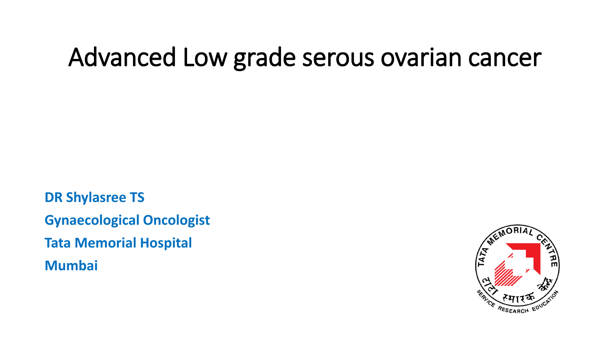## Advanced Low grade serous ovarian cancer

**DR Shylasree TS Gynaecological Oncologist Tata Memorial Hospital Mumbai**

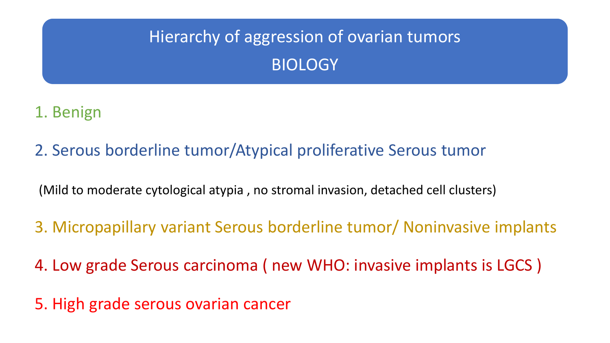#### Hierarchy of aggression of ovarian tumors BIOLOGY

#### 1. Benign

2. Serous borderline tumor/Atypical proliferative Serous tumor

(Mild to moderate cytological atypia , no stromal invasion, detached cell clusters)

3. Micropapillary variant Serous borderline tumor/ Noninvasive implants

4. Low grade Serous carcinoma ( new WHO: invasive implants is LGCS )

5. High grade serous ovarian cancer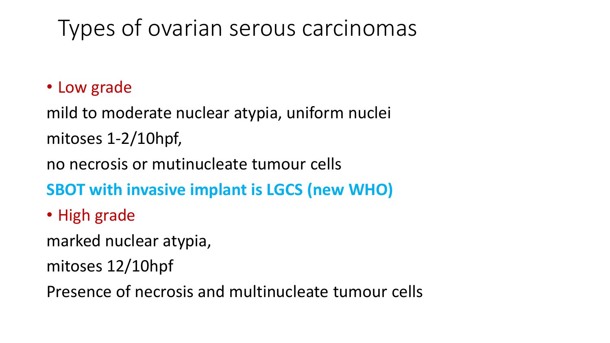### Types of ovarian serous carcinomas

#### • Low grade

mild to moderate nuclear atypia, uniform nuclei mitoses 1-2/10hpf,

no necrosis or mutinucleate tumour cells

**SBOT with invasive implant is LGCS (new WHO)**

• High grade

marked nuclear atypia,

mitoses 12/10hpf

Presence of necrosis and multinucleate tumour cells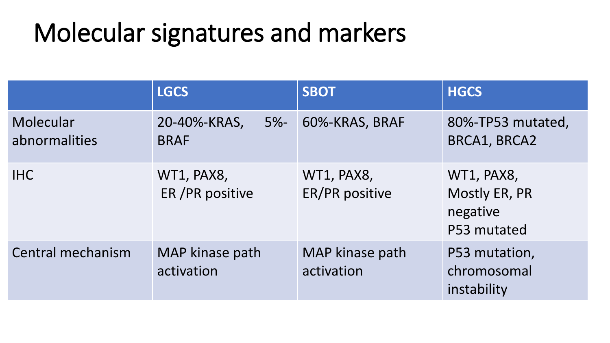# Molecular signatures and markers

|                            | <b>LGCS</b>                           | <b>SBOT</b>                         | <b>HGCS</b>                                                   |
|----------------------------|---------------------------------------|-------------------------------------|---------------------------------------------------------------|
| Molecular<br>abnormalities | 20-40%-KRAS,<br>$5% -$<br><b>BRAF</b> | 60%-KRAS, BRAF                      | 80%-TP53 mutated,<br>BRCA1, BRCA2                             |
| <b>IHC</b>                 | WT1, PAX8,<br>ER / PR positive        | WT1, PAX8,<br><b>ER/PR positive</b> | WT1, PAX8,<br><b>Mostly ER, PR</b><br>negative<br>P53 mutated |
| Central mechanism          | MAP kinase path<br>activation         | MAP kinase path<br>activation       | P53 mutation,<br>chromosomal<br>instability                   |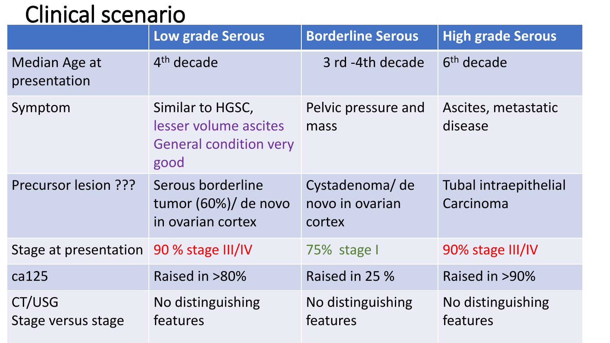### Clinical scenario

|                                         | <b>Borderline Serous</b><br><b>Low grade Serous</b>                                                               |                                             | <b>High grade Serous</b>           |
|-----------------------------------------|-------------------------------------------------------------------------------------------------------------------|---------------------------------------------|------------------------------------|
| Median Age at<br>presentation           | $4th$ decade                                                                                                      | 3 rd -4th decade                            | 6 <sup>th</sup> decade             |
| Symptom                                 | Pelvic pressure and<br>Similar to HGSC,<br>lesser volume ascites<br>mass<br><b>General condition very</b><br>good |                                             | Ascites, metastatic<br>disease     |
| Precursor lesion ???                    | Serous borderline<br>tumor $(60%)$ de novo<br>in ovarian cortex                                                   | Cystadenoma/de<br>novo in ovarian<br>cortex | Tubal intraepithelial<br>Carcinoma |
| Stage at presentation 90 % stage III/IV |                                                                                                                   | 75% stage I                                 | 90% stage III/IV                   |
| ca125                                   | Raised in >80%                                                                                                    | Raised in 25 %                              | Raised in >90%                     |
| CT/USG<br>Stage versus stage            | No distinguishing<br>features                                                                                     | No distinguishing<br>features               | No distinguishing<br>features      |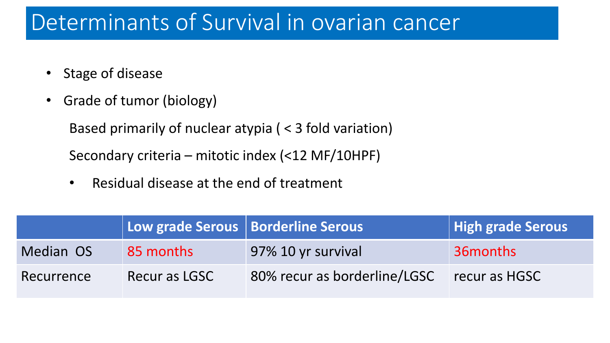#### Determinants of Survival in ovarian cancer

- Stage of disease
- Grade of tumor (biology)

Based primarily of nuclear atypia ( < 3 fold variation)

Secondary criteria – mitotic index (<12 MF/10HPF)

• Residual disease at the end of treatment

|            | Low grade Serous   Borderline Serous |                              | High grade Serous |
|------------|--------------------------------------|------------------------------|-------------------|
| Median OS  | 85 months                            | 97% 10 yr survival           | 36 months         |
| Recurrence | Recur as LGSC                        | 80% recur as borderline/LGSC | recur as HGSC     |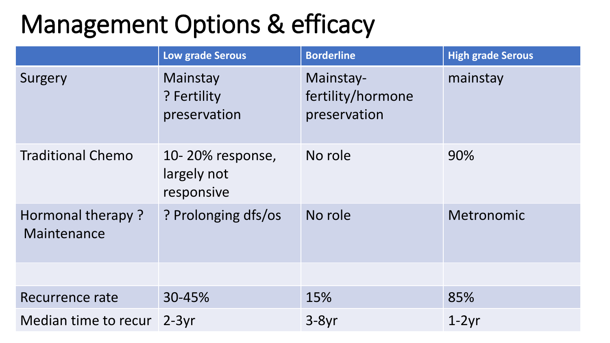# Management Options & efficacy

|                                  | Low grade Serous                              | <b>Borderline</b>                              | <b>High grade Serous</b> |
|----------------------------------|-----------------------------------------------|------------------------------------------------|--------------------------|
| Surgery                          | Mainstay<br>? Fertility<br>preservation       | Mainstay-<br>fertility/hormone<br>preservation | mainstay                 |
| <b>Traditional Chemo</b>         | 10-20% response,<br>largely not<br>responsive | No role                                        | 90%                      |
| Hormonal therapy?<br>Maintenance | ? Prolonging dfs/os                           | No role                                        | Metronomic               |
|                                  |                                               |                                                |                          |
| Recurrence rate                  | 30-45%                                        | 15%                                            | 85%                      |
| Median time to recur             | $2-3yr$                                       | $3-8yr$                                        | $1-2yr$                  |